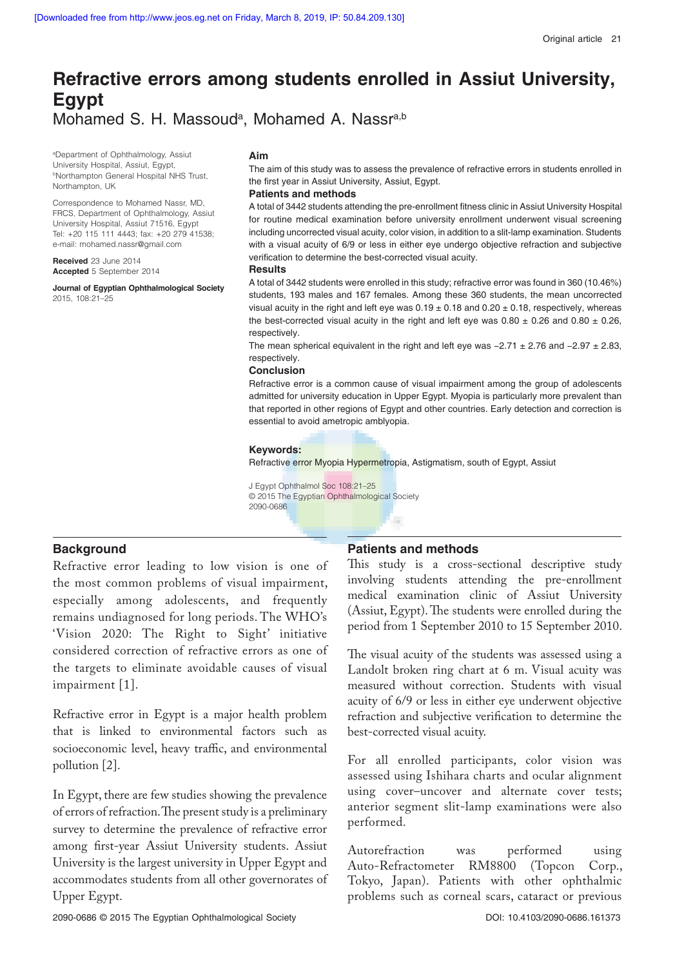# **Refractive errors among students enrolled in Assiut University, Egypt** Mohamed S. H. Massoud<sup>a</sup>, Mohamed A. Nassr<sup>a,b</sup>

a Department of Ophthalmology, Assiut University Hospital, Assiut, Egypt, **bNorthampton General Hospital NHS Trust,** Northampton, UK

Correspondence to Mohamed Nassr, MD, FRCS, Department of Ophthalmology, Assiut University Hospital, Assiut 71516, Egypt Tel: +20 115 111 4443; fax: +20 279 41538; e-mail: mohamed.nassr@gmail.com

**Received** 23 June 2014 **Accepted** 5 September 2014

**Journal of Egyptian Ophthalmological Society** 2015, 108:21–25

#### **Aim**

The aim of this study was to assess the prevalence of refractive errors in students enrolled in the first year in Assiut University, Assiut, Egypt.

# **Patients and methods**

A total of 3442 students attending the pre-enrollment fitness clinic in Assiut University Hospital for routine medical examination before university enrollment underwent visual screening including uncorrected visual acuity, color vision, in addition to a slit-lamp examination. Students with a visual acuity of 6/9 or less in either eye undergo objective refraction and subjective verification to determine the best-corrected visual acuity.

### **Results**

A total of 3442 students were enrolled in this study; refractive error was found in 360 (10.46%) students, 193 males and 167 females. Among these 360 students, the mean uncorrected visual acuity in the right and left eye was  $0.19 \pm 0.18$  and  $0.20 \pm 0.18$ , respectively, whereas the best-corrected visual acuity in the right and left eye was  $0.80 \pm 0.26$  and  $0.80 \pm 0.26$ , respectively.

The mean spherical equivalent in the right and left eye was −2.71 ± 2.76 and −2.97 ± 2.83, respectively.

### **Conclusion**

Refractive error is a common cause of visual impairment among the group of adolescents admitted for university education in Upper Egypt. Myopia is particularly more prevalent than that reported in other regions of Egypt and other countries. Early detection and correction is essential to avoid ametropic amblyopia.

### **Keywords:**

Refractive error Myopia Hypermetropia, Astigmatism, south of Egypt, Assiut

H

J Egypt Ophthalmol Soc 108:21–25 © 2015 The Egyptian Ophthalmological Society 2090-0686

## **Background**

Refractive error leading to low vision is one of the most common problems of visual impairment, especially among adolescents, and frequently remains undiagnosed for long periods. The WHO's 'Vision 2020: The Right to Sight' initiative considered correction of refractive errors as one of the targets to eliminate avoidable causes of visual impairment [1].

Refractive error in Egypt is a major health problem that is linked to environmental factors such as socioeconomic level, heavy traffic, and environmental pollution [2].

In Egypt, there are few studies showing the prevalence of errors of refraction. The present study is a preliminary survey to determine the prevalence of refractive error among first-year Assiut University students. Assiut University is the largest university in Upper Egypt and accommodates students from all other governorates of Upper Egypt.

# **Patients and methods**

This study is a cross-sectional descriptive study involving students attending the pre-enrollment medical examination clinic of Assiut University (Assiut, Egypt). The students were enrolled during the period from 1 September 2010 to 15 September 2010.

The visual acuity of the students was assessed using a Landolt broken ring chart at 6 m. Visual acuity was measured without correction. Students with visual acuity of 6/9 or less in either eye underwent objective refraction and subjective verification to determine the best-corrected visual acuity.

For all enrolled participants, color vision was assessed using Ishihara charts and ocular alignment using cover–uncover and alternate cover tests; anterior segment slit-lamp examinations were also performed.

Autorefraction was performed using Auto-Refractometer RM8800 (Topcon Corp., Tokyo, Japan). Patients with other ophthalmic problems such as corneal scars, cataract or previous

2090-0686 © 2015 The Egyptian Ophthalmological Society DOI: 10.4103/2090-0686.161373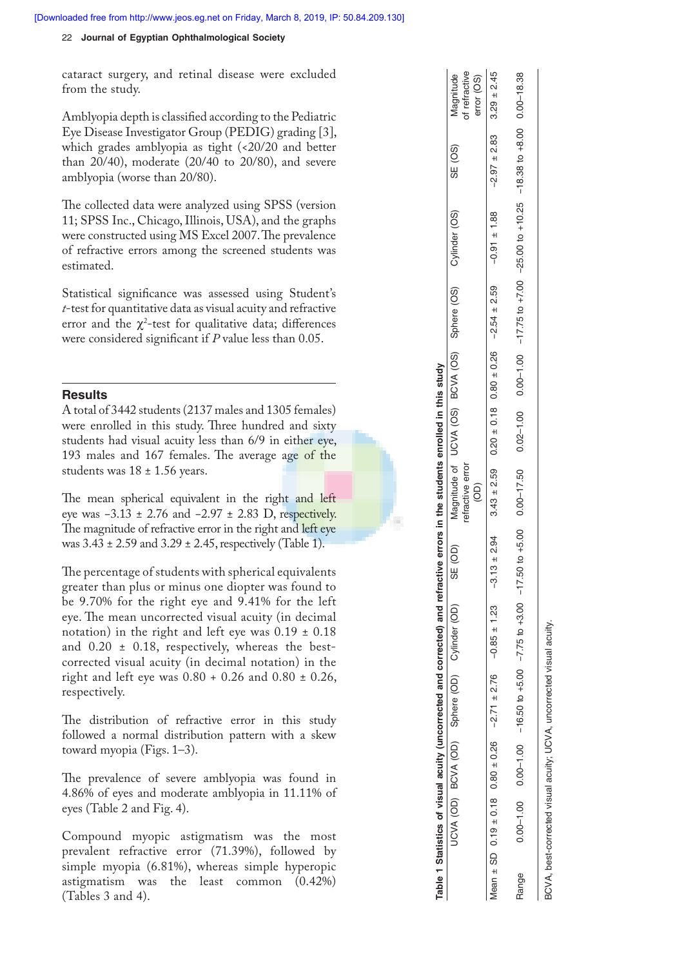### 22 **Journal of Egyptian Ophthalmological Society**

cataract surgery, and retinal disease were excluded from the study.

Amblyopia depth is classified according to the Pediatric Eye Disease Investigator Group (PEDIG) grading [3], which grades amblyopia as tight (<20/20 and better than 20/40), moderate (20/40 to 20/80), and severe amblyopia (worse than 20/80).

The collected data were analyzed using SPSS (version 11; SPSS Inc., Chicago, Illinois, USA), and the graphs were constructed using MS Excel 2007. The prevalence of refractive errors among the screened students was estimated.

Statistical significance was assessed using Student's *t*-test for quantitative data as visual acuity and refractive error and the  $\chi^2$ -test for qualitative data; differences were considered significant if *P* value less than 0.05.

# **Results**

A total of 3442 students (2137 males and 1305 females) were enrolled in this study. Three hundred and sixty students had visual acuity less than 6/9 in either eye, 193 males and 167 females. The average age of the students was 18 ± 1.56 years.

The mean spherical equivalent in the right and left eye was −3.13 ± 2.76 and −2.97 ± 2.83 D, respectively. The magnitude of refractive error in the right and left eye was  $3.43 \pm 2.59$  and  $3.29 \pm 2.45$ , respectively (Table 1).

The percentage of students with spherical equivalents greater than plus or minus one diopter was found to be 9.70% for the right eye and 9.41% for the left eye. The mean uncorrected visual acuity (in decimal notation) in the right and left eye was  $0.19 \pm 0.18$ and  $0.20 \pm 0.18$ , respectively, whereas the bestcorrected visual acuity (in decimal notation) in the right and left eye was 0.80 + 0.26 and 0.80 ± 0.26, respectively.

The distribution of refractive error in this study followed a normal distribution pattern with a skew toward myopia (Figs. 1–3).

The prevalence of severe amblyopia was found in 4.86% of eyes and moderate amblyopia in 11.11% of eyes (Table 2 and Fig. 4).

Compound myopic astigmatism was the most prevalent refractive error (71.39%), followed by simple myopia (6.81%), whereas simple hyperopic astigmatism was the least common (0.42%) (Tables 3 and 4).

|                                                                                                                              | of refractive<br>Magnitude<br>error (OS)                  |                                                                                                                                                        |                                                                                                                                                                                                  |
|------------------------------------------------------------------------------------------------------------------------------|-----------------------------------------------------------|--------------------------------------------------------------------------------------------------------------------------------------------------------|--------------------------------------------------------------------------------------------------------------------------------------------------------------------------------------------------|
| Table 1 Statistics of visual acuity (uncorrected and corrected) and refractive errors in the students enrolled in this study | SE (OS)                                                   | $-2.13 \pm 2.94$<br>$-2.594 \pm 2.59$<br>$-2.599 \pm 2.59$<br>$-2.594 \pm 2.60 \pm 0.78$<br>$-0.26 \pm 0.78$<br>$-0.294 \pm 2.83$<br>$-2.694 \pm 2.45$ | $0.00-1.00$ $0.00-16.50$ to $+5.00$ $-7.75$ to $+3.00$ $-17.50$ to $+5.00$ $0.00-17.50$ 0.00 $-10.00$ 0.00 $-17.75$ to $+7.75$ to $+7.00$ to $+7.00$ to $+10.25$ -18.38 to $+8.00$ 0.00 $-18.38$ |
|                                                                                                                              |                                                           |                                                                                                                                                        |                                                                                                                                                                                                  |
|                                                                                                                              | SE (OD) Magnitude of UCVA (OS) BCVA (OS) COM COS) SE (OS) |                                                                                                                                                        |                                                                                                                                                                                                  |
|                                                                                                                              |                                                           |                                                                                                                                                        |                                                                                                                                                                                                  |
|                                                                                                                              |                                                           |                                                                                                                                                        |                                                                                                                                                                                                  |
|                                                                                                                              | refractive error<br>$\widehat{\Theta}$                    |                                                                                                                                                        |                                                                                                                                                                                                  |
|                                                                                                                              |                                                           |                                                                                                                                                        |                                                                                                                                                                                                  |
|                                                                                                                              |                                                           | Mean $\pm$ SD 0.19 $\pm$ 0.18 0.80 $\pm$ 0.26 -2.71 $\pm$ 2.76 -0.85 $\pm$ 1.23                                                                        |                                                                                                                                                                                                  |
|                                                                                                                              | UCVA (OD) BCVA (OD) Sphere (OD) Cylinder (OD)             |                                                                                                                                                        |                                                                                                                                                                                                  |
|                                                                                                                              |                                                           |                                                                                                                                                        |                                                                                                                                                                                                  |
|                                                                                                                              |                                                           |                                                                                                                                                        |                                                                                                                                                                                                  |
|                                                                                                                              |                                                           |                                                                                                                                                        | Range                                                                                                                                                                                            |

BCVA, best-corrected visual acuity; UCVA, uncorrected visual acuity.

BCVA, best-corrected visual acuity; UCVA, uncorrected visual acuity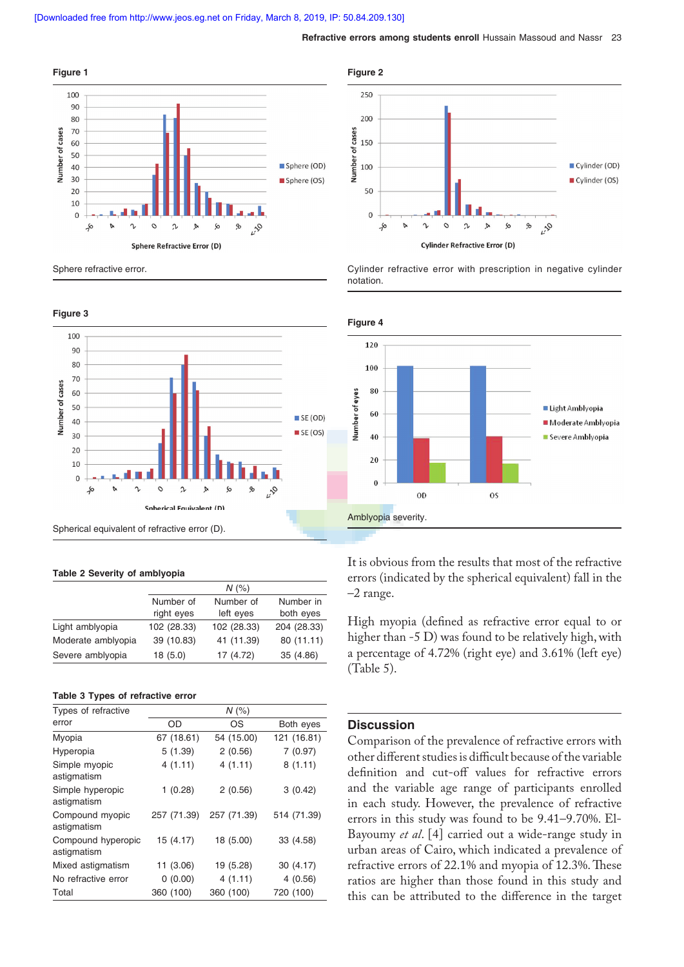

Sphere refractive error.



#### **Table 2 Severity of amblyopia**

|                    |             | $N$ (%)     |             |
|--------------------|-------------|-------------|-------------|
|                    | Number of   | Number of   | Number in   |
|                    | right eyes  | left eyes   | both eyes   |
| Light amblyopia    | 102 (28.33) | 102 (28.33) | 204 (28.33) |
| Moderate amblyopia | 39 (10.83)  | 41 (11.39)  | 80 (11.11)  |
| Severe amblyopia   | 18 (5.0)    | 17 (4.72)   | 35 (4.86)   |

### **Table 3 Types of refractive error**

| Types of refractive               |             | $N$ (%)     |             |
|-----------------------------------|-------------|-------------|-------------|
| error                             | OD          | OS          | Both eyes   |
| Myopia                            | 67 (18.61)  | 54 (15.00)  | 121 (16.81) |
| Hyperopia                         | 5(1.39)     | 2(0.56)     | 7(0.97)     |
| Simple myopic<br>astigmatism      | 4(1.11)     | 4(1.11)     | 8(1.11)     |
| Simple hyperopic<br>astigmatism   | 1(0.28)     | 2(0.56)     | 3(0.42)     |
| Compound myopic<br>astigmatism    | 257 (71.39) | 257 (71.39) | 514 (71.39) |
| Compound hyperopic<br>astigmatism | 15 (4.17)   | 18 (5.00)   | 33 (4.58)   |
| Mixed astigmatism                 | 11 (3.06)   | 19 (5.28)   | 30(4.17)    |
| No refractive error               | 0(0.00)     | 4(1.11)     | 4(0.56)     |
| Total                             | 360 (100)   | 360 (100)   | 720 (100)   |



Cylinder refractive error with prescription in negative cylinder notation.



It is obvious from the results that most of the refractive errors (indicated by the spherical equivalent) fall in the –2 range.

High myopia (defined as refractive error equal to or higher than  $-5$  D) was found to be relatively high, with a percentage of 4.72% (right eye) and 3.61% (left eye) (Table 5).

## **Discussion**

Comparison of the prevalence of refractive errors with other different studies is difficult because of the variable definition and cut-off values for refractive errors and the variable age range of participants enrolled in each study. However, the prevalence of refractive errors in this study was found to be 9.41–9.70%. El-Bayoumy *et al*. [4] carried out a wide-range study in urban areas of Cairo, which indicated a prevalence of refractive errors of 22.1% and myopia of 12.3%. These ratios are higher than those found in this study and this can be attributed to the difference in the target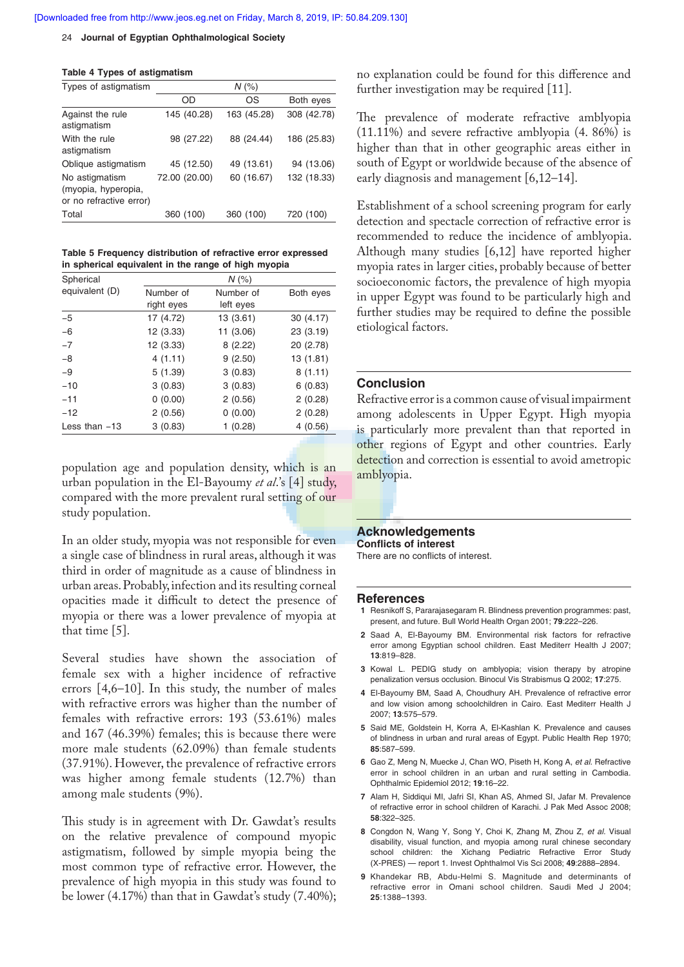#### 24 **Journal of Egyptian Ophthalmological Society**

| Types of astigmatism                                             | $N$ (%)       |             |             |
|------------------------------------------------------------------|---------------|-------------|-------------|
|                                                                  | OD            | OS          | Both eyes   |
| Against the rule<br>astigmatism                                  | 145 (40.28)   | 163 (45.28) | 308 (42.78) |
| With the rule<br>astigmatism                                     | 98 (27.22)    | 88 (24.44)  | 186 (25.83) |
| Oblique astigmatism                                              | 45 (12.50)    | 49 (13.61)  | 94 (13.06)  |
| No astigmatism<br>(myopia, hyperopia,<br>or no refractive error) | 72.00 (20.00) | 60 (16.67)  | 132 (18.33) |
| Total                                                            | 360 (100)     | 360 (100)   | 720 (100)   |

**Table 5 Frequency distribution of refractive error expressed in spherical equivalent in the range of high myopia**

| Spherical       | $N$ (%)    |           |           |
|-----------------|------------|-----------|-----------|
| equivalent (D)  | Number of  | Number of | Both eyes |
|                 | right eyes | left eyes |           |
| $-5$            | 17 (4.72)  | 13(3.61)  | 30(4.17)  |
| $-6$            | 12 (3.33)  | 11 (3.06) | 23 (3.19) |
| $-7$            | 12 (3.33)  | 8(2.22)   | 20 (2.78) |
| $-8$            | 4(1.11)    | 9(2.50)   | 13 (1.81) |
| $-9$            | 5(1.39)    | 3(0.83)   | 8(1.11)   |
| $-10$           | 3(0.83)    | 3(0.83)   | 6(0.83)   |
| $-11$           | 0(0.00)    | 2(0.56)   | 2(0.28)   |
| $-12$           | 2(0.56)    | 0(0.00)   | 2(0.28)   |
| Less than $-13$ | 3(0.83)    | 1(0.28)   | 4(0.56)   |

population age and population density, which is an urban population in the El-Bayoumy *et al*.'s [4] study, compared with the more prevalent rural setting of our study population.

In an older study, myopia was not responsible for even a single case of blindness in rural areas, although it was third in order of magnitude as a cause of blindness in urban areas. Probably, infection and its resulting corneal opacities made it difficult to detect the presence of myopia or there was a lower prevalence of myopia at that time [5].

Several studies have shown the association of female sex with a higher incidence of refractive errors  $[4,6-10]$ . In this study, the number of males with refractive errors was higher than the number of females with refractive errors: 193 (53.61%) males and 167 (46.39%) females; this is because there were more male students (62.09%) than female students (37.91%). However, the prevalence of refractive errors was higher among female students (12.7%) than among male students (9%).

This study is in agreement with Dr. Gawdat's results on the relative prevalence of compound myopic astigmatism, followed by simple myopia being the most common type of refractive error. However, the prevalence of high myopia in this study was found to be lower (4.17%) than that in Gawdat's study (7.40%); no explanation could be found for this difference and further investigation may be required [11].

The prevalence of moderate refractive amblyopia (11.11%) and severe refractive amblyopia (4. 86%) is higher than that in other geographic areas either in south of Egypt or worldwide because of the absence of early diagnosis and management [6,12–14].

Establishment of a school screening program for early detection and spectacle correction of refractive error is recommended to reduce the incidence of amblyopia. Although many studies [6,12] have reported higher myopia rates in larger cities, probably because of better socioeconomic factors, the prevalence of high myopia in upper Egypt was found to be particularly high and further studies may be required to define the possible etiological factors.

### **Conclusion**

Refractive error is a common cause of visual impairment among adolescents in Upper Egypt. High myopia is particularly more prevalent than that reported in other regions of Egypt and other countries. Early detection and correction is essential to avoid ametropic amblyopia.

### **Acknowledgements**

**Conflicts of interest** There are no conflicts of interest.

### **References**

- **1** Resnikoff S, Pararajasegaram R. Blindness prevention programmes: past, present, and future. Bull World Health Organ 2001; **79**:222–226.
- **2** Saad A, El-Bayoumy BM. Environmental risk factors for refractive error among Egyptian school children. East Mediterr Health J 2007; **13**:819–828.
- **3** Kowal L. PEDIG study on amblyopia; vision therapy by atropine penalization versus occlusion. Binocul Vis Strabismus Q 2002; **17**:275.
- **4** El-Bayoumy BM, Saad A, Choudhury AH. Prevalence of refractive error and low vision among schoolchildren in Cairo. East Mediterr Health J 2007; **13**:575–579.
- **5** Said ME, Goldstein H, Korra A, El-Kashlan K. Prevalence and causes of blindness in urban and rural areas of Egypt. Public Health Rep 1970; **85**:587–599.
- **6** Gao Z, Meng N, Muecke J, Chan WO, Piseth H, Kong A, *et al*. Refractive error in school children in an urban and rural setting in Cambodia. Ophthalmic Epidemiol 2012; **19**:16–22.
- **7** Alam H, Siddiqui MI, Jafri SI, Khan AS, Ahmed SI, Jafar M. Prevalence of refractive error in school children of Karachi. J Pak Med Assoc 2008; **58**:322–325.
- **8** Congdon N, Wang Y, Song Y, Choi K, Zhang M, Zhou Z, *et al.* Visual disability, visual function, and myopia among rural chinese secondary school children: the Xichang Pediatric Refractive Error Study (X-PRES) — report 1. Invest Ophthalmol Vis Sci 2008; **49**:2888–2894.
- **9** Khandekar RB, Abdu-Helmi S. Magnitude and determinants of refractive error in Omani school children. Saudi Med J 2004; **25**:1388–1393.